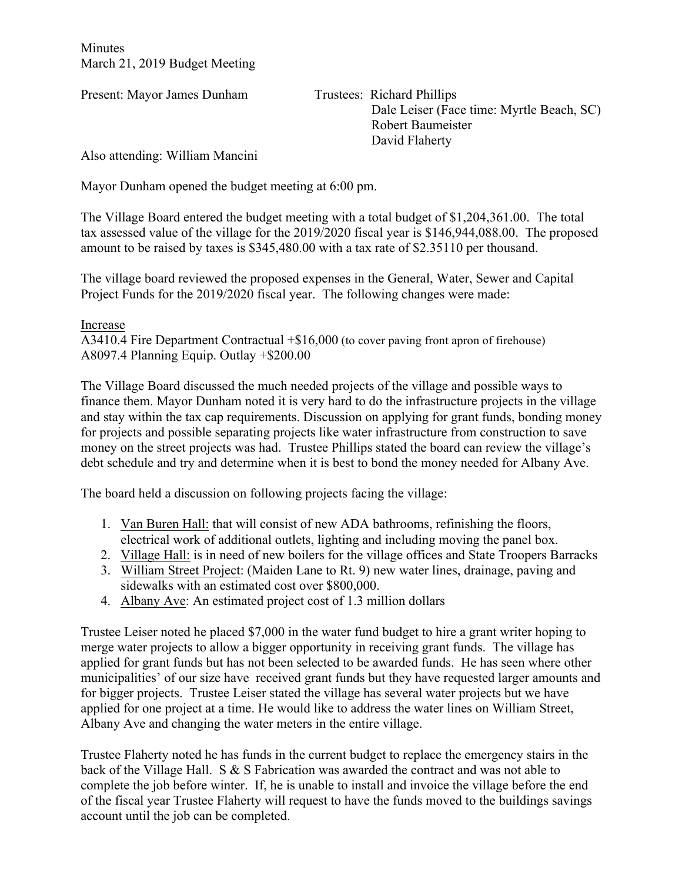**Minutes** March 21, 2019 Budget Meeting

Present: Mayor James Dunham Trustees: Richard Phillips

 Dale Leiser (Face time: Myrtle Beach, SC) Robert Baumeister David Flaherty

Also attending: William Mancini

Mayor Dunham opened the budget meeting at 6:00 pm.

The Village Board entered the budget meeting with a total budget of \$1,204,361.00. The total tax assessed value of the village for the 2019/2020 fiscal year is \$146,944,088.00. The proposed amount to be raised by taxes is \$345,480.00 with a tax rate of \$2.35110 per thousand.

The village board reviewed the proposed expenses in the General, Water, Sewer and Capital Project Funds for the 2019/2020 fiscal year. The following changes were made:

## Increase

A3410.4 Fire Department Contractual +\$16,000 (to cover paving front apron of firehouse) A8097.4 Planning Equip. Outlay +\$200.00

The Village Board discussed the much needed projects of the village and possible ways to finance them. Mayor Dunham noted it is very hard to do the infrastructure projects in the village and stay within the tax cap requirements. Discussion on applying for grant funds, bonding money for projects and possible separating projects like water infrastructure from construction to save money on the street projects was had. Trustee Phillips stated the board can review the village's debt schedule and try and determine when it is best to bond the money needed for Albany Ave.

The board held a discussion on following projects facing the village:

- 1. Van Buren Hall: that will consist of new ADA bathrooms, refinishing the floors, electrical work of additional outlets, lighting and including moving the panel box.
- 2. Village Hall: is in need of new boilers for the village offices and State Troopers Barracks
- 3. William Street Project: (Maiden Lane to Rt. 9) new water lines, drainage, paving and sidewalks with an estimated cost over \$800,000.
- 4. Albany Ave: An estimated project cost of 1.3 million dollars

Trustee Leiser noted he placed \$7,000 in the water fund budget to hire a grant writer hoping to merge water projects to allow a bigger opportunity in receiving grant funds. The village has applied for grant funds but has not been selected to be awarded funds. He has seen where other municipalities' of our size have received grant funds but they have requested larger amounts and for bigger projects. Trustee Leiser stated the village has several water projects but we have applied for one project at a time. He would like to address the water lines on William Street, Albany Ave and changing the water meters in the entire village.

Trustee Flaherty noted he has funds in the current budget to replace the emergency stairs in the back of the Village Hall. S & S Fabrication was awarded the contract and was not able to complete the job before winter. If, he is unable to install and invoice the village before the end of the fiscal year Trustee Flaherty will request to have the funds moved to the buildings savings account until the job can be completed.